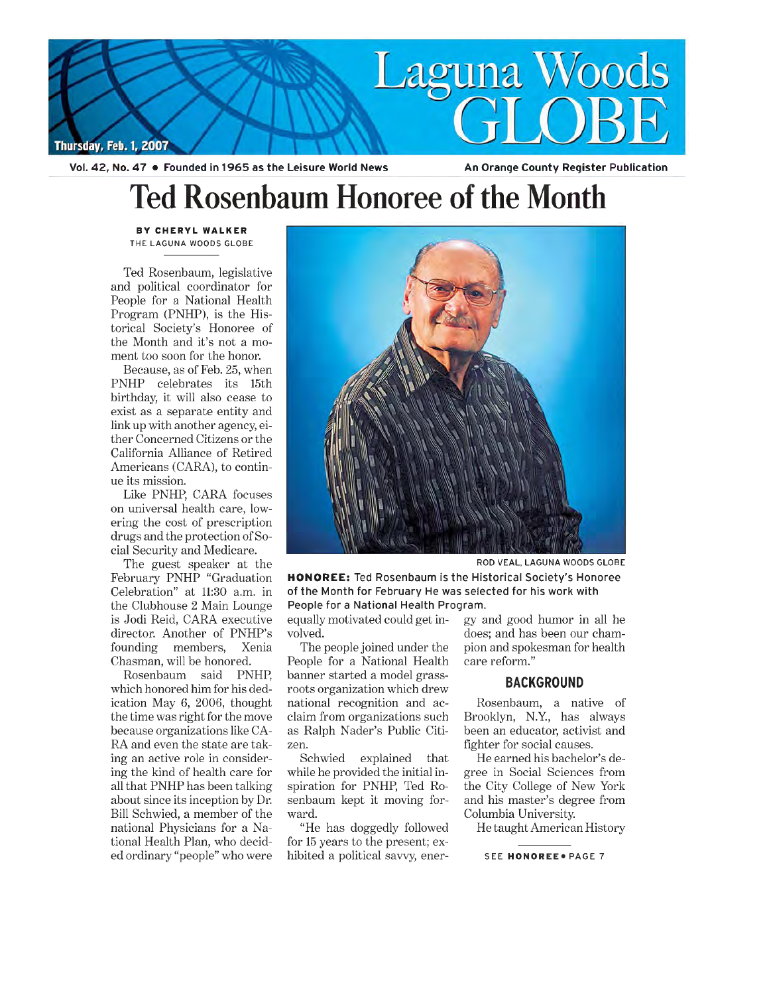

**Ted Rosenbaum Honoree of the Month**

BY CHERYL WALKER THE LAGUNA WOODS GLOBE

Ted Rosenbaum, legislative and political coordinator for People for a National Health Program (PNHP), is the Historical Society's Honoree of the Month and it's not a moment too soon for the honor.

Because, as of Feb. 25, when PNHP celebrates its 15th birthday, it will also cease to exist as a separate entity and link up with another agency, either Concerned Citizens or the California Alliance of Retired Americans (CARA), to continue its mission.

Like PNHP, CARA focuses on universal health care, lowering the cost of prescription drugs and the protection of Social Security and Medicare.

The guest speaker at the February PNHP "Graduation Celebration" at 11:30 a.m. in the Clubhouse 2 Main Lounge is Jodi Reid, CARA executive director. Another of PNHP's founding members, Xenia Chasman, will be honored.

Rosenbaum said PNHP, which honored him for his dedication May 6, 2006, thought the time was right for the move because organizations like CA-RA and even the state are taking an active role in considering the kind of health care for all that PNHP has been talking about since its inception by Dr. Bill Schwied, a member of the national Physicians for a National Health Plan, who decided ordinary "people" who were



ROD VEAL, LAGUNA WOODS GLOBE

HONOREE: Ted Rosenbaum is the Historical Society's Honoree of the Month for February He was selected for his work with People for a National Health Program.

equally motivated could get involved.

The people joined under the People for a National Health banner started a model grassroots organization which drew national recognition and acclaim from organizations such as Ralph Nader's Public Citizen.

Schwied explained that while he provided the initial inspiration for PNHP, Ted Rosenbaum kept it moving forward.

"He has doggedly followed for 15 years to the present; exhibited a political savvy, energy and good humor in all he does; and has been our champion and spokesman for health care reform."

## BACKGROUND

Rosenbaum, a native of Brooklyn, N.Y., has always been an educator, activist and fighter for social causes.

He earned his bachelor's degree in Social Sciences from the City College of New York and his master's degree from Columbia University.

He taught American History

SEE HONOREE . PAGE 7